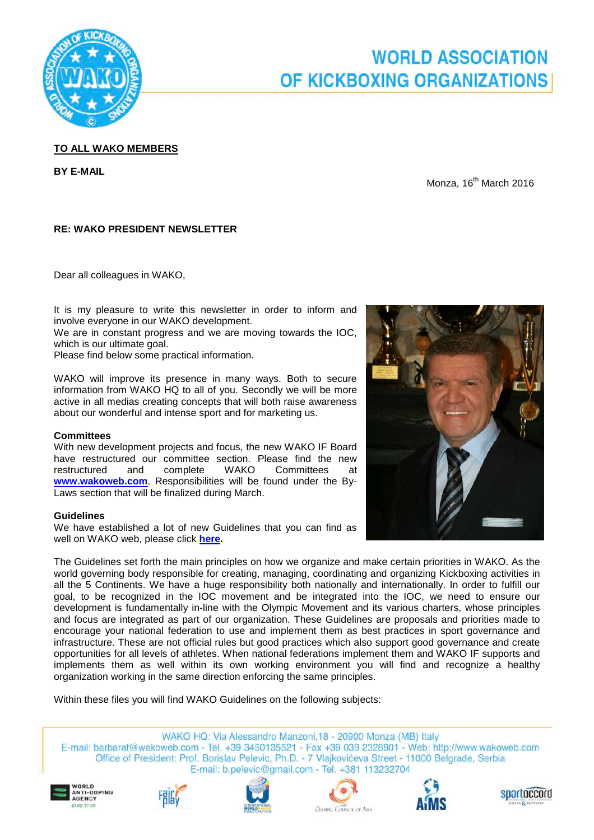

# **WORLD ASSOCIATION** OF KICKBOXING ORGANIZATIONS

## **TO ALL WAKO MEMBERS**

**BY E-MAIL**

Monza,  $16^{th}$  March 2016

## **RE: WAKO PRESIDENT NEWSLETTER**

Dear all colleagues in WAKO,

It is my pleasure to write this newsletter in order to inform and involve everyone in our WAKO development.

We are in constant progress and we are moving towards the IOC, which is our ultimate goal.

Please find below some practical information.

WAKO will improve its presence in many ways. Both to secure information from WAKO HQ to all of you. Secondly we will be more active in all medias creating concepts that will both raise awareness about our wonderful and intense sport and for marketing us.

#### **Committees**

With new development projects and focus, the new WAKO IF Board have restructured our committee section. Please find the new restructured and complete WAKO Committees at **[www.wakoweb.com](http://www.wakoweb.com/)**. Responsibilities will be found under the By-Laws section that will be finalized during March.

#### **Guidelines**

We have established a lot of new Guidelines that you can find as well on WAKO web, please click **[here.](http://www.wakoweb.com/en/page/guidelines/fd20cd79-73d8-4f34-bce2-e5e600f82bfd)**



Within these files you will find WAKO Guidelines on the following subjects:

WAKO HQ: Via Alessandro Manzoni, 18 - 20900 Monza (MB) Italy E-mail: barbaraf@wakoweb.com - Tel. +39 3450135521 - Fax +39 039 2328901 - Web: http://www.wakoweb.com Office of President: Prof. Borislav Pelevic, Ph.D. - 7 Vlajkovićeva Street - 11000 Belgrade, Serbia E-mail: b.pelevic@gmail.com - Tel. +381 113232704